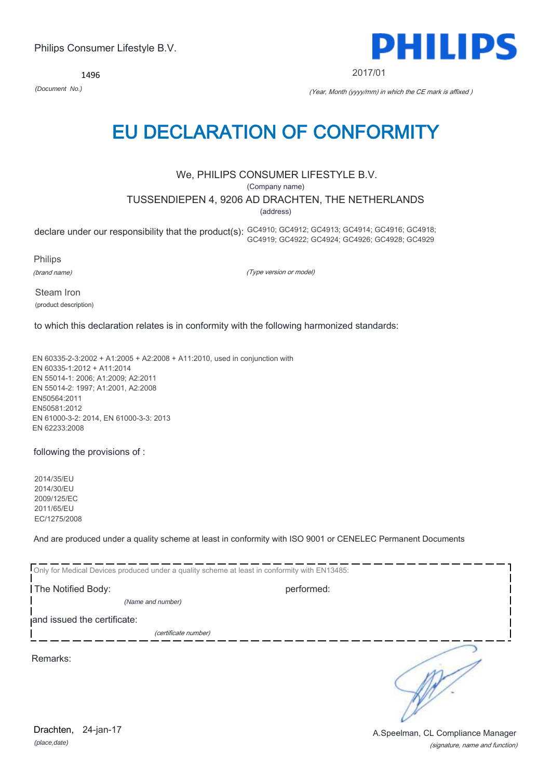*(place,date)* Drachten, 24-jan-17

(signature, name and function) A.Speelman, CL Compliance Manager

Philips Consumer Lifestyle B.V.

1496

# EU DECLARATION OF CONFORMITY

### We, PHILIPS CONSUMER LIFESTYLE B.V.

(Company name)

TUSSENDIEPEN 4, 9206 AD DRACHTEN, THE NETHERLANDS

(address)

declare under our responsibility that the product(s): GC4910; GC4912; GC4913; GC4914; GC4916; GC4918; GC4919; GC4922; GC4924; GC4926; GC4928; GC4929

Philips

(brand name)

(Type version or model)

Steam Iron (product description)

to which this declaration relates is in conformity with the following harmonized standards:

EN 60335-2-3:2002 + A1:2005 + A2:2008 + A11:2010, used in conjunction with EN 60335-1:2012 + A11:2014 EN 55014-1: 2006; A1:2009; A2:2011 EN 55014-2: 1997; A1:2001, A2:2008 EN50564:2011 EN50581:2012 EN 61000-3-2: 2014, EN 61000-3-3: 2013 EN 62233:2008

following the provisions of :

2014/35/EU 2014/30/EU 2009/125/EC 2011/65/EU EC/1275/2008

And are produced under a quality scheme at least in conformity with ISO 9001 or CENELEC Permanent Documents

| Only for Medical Devices produced under a quality scheme at least in conformity with EN13485: |            |  |
|-----------------------------------------------------------------------------------------------|------------|--|
| The Notified Body:                                                                            | performed: |  |
| (Name and number)                                                                             |            |  |
| and issued the certificate:                                                                   |            |  |
| (certificate number)                                                                          |            |  |
| Remarks:                                                                                      |            |  |



2017/01

*(Document No.)* (Year, Month (yyyy/mm) in which the CE mark is affixed )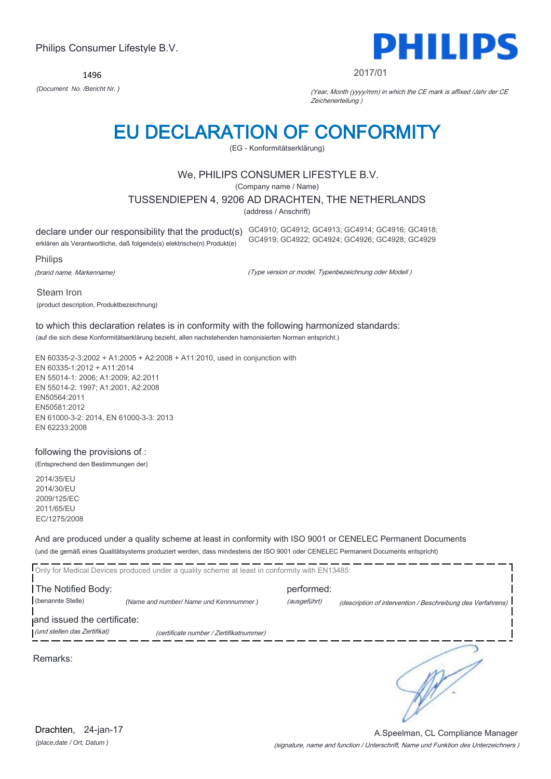1496



#### 2017/01

*(Document No. /Bericht Nr. )* (Year, Month (yyyy/mm) in which the CE mark is affixed /Jahr der CE Zeichenerteilung )

## EU DECLARATION OF CONFORMITY

(EG - Konformitätserklärung)

#### We, PHILIPS CONSUMER LIFESTYLE B.V.

(Company name / Name)

TUSSENDIEPEN 4, 9206 AD DRACHTEN, THE NETHERLANDS

(address / Anschrift)

erklären als Verantwortliche, daß folgende(s) elektrische(n) Produkt(e)

declare under our responsibility that the product(s) GC4910; GC4912; GC4913; GC4914; GC4916; GC4918; GC4919; GC4922; GC4924; GC4926; GC4928; GC4929

Philips

(brand name, Markenname)

(Type version or model, Typenbezeichnung oder Modell )

Steam Iron (product description, Produktbezeichnung)

### to which this declaration relates is in conformity with the following harmonized standards:

(auf die sich diese Konformitätserklärung bezieht, allen nachstehenden hamonisierten Normen entspricht.)

EN 60335-2-3:2002 + A1:2005 + A2:2008 + A11:2010, used in conjunction with EN 60335-1:2012 + A11:2014 EN 55014-1: 2006; A1:2009; A2:2011 EN 55014-2: 1997; A1:2001, A2:2008 EN50564:2011 EN50581:2012 EN 61000-3-2: 2014, EN 61000-3-3: 2013 EN 62233:2008

#### following the provisions of :

(Entsprechend den Bestimmungen der)

2014/35/EU 2014/30/EU 2009/125/EC 2011/65/EU EC/1275/2008

#### And are produced under a quality scheme at least in conformity with ISO 9001 or CENELEC Permanent Documents (und die gemäß eines Qualitätsystems produziert werden, dass mindestens der ISO 9001 oder CENELEC Permanent Documents entspricht)

|                                                             | Only for Medical Devices produced under a quality scheme at least in conformity with EN13485: |                            |                                                             |
|-------------------------------------------------------------|-----------------------------------------------------------------------------------------------|----------------------------|-------------------------------------------------------------|
| The Notified Body:<br>(benannte Stelle)                     | (Name and number/ Name und Kennnummer)                                                        | performed:<br>(ausgeführt) | (description of intervention / Beschreibung des Verfahrens) |
| and issued the certificate:<br>(und stellen das Zertifikat) | (certificate number / Zertifikatnummer)                                                       |                            |                                                             |
| Remarks:                                                    |                                                                                               |                            |                                                             |

(signature, name and function / Unterschrift, Name und Funktion des Unterzeichners ) A.Speelman, CL Compliance Manager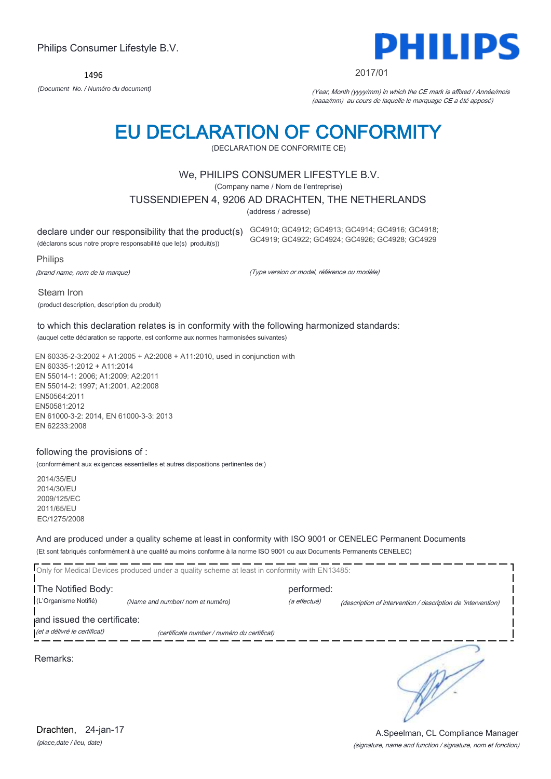2014/35/EU

And are produced under a quality scheme at least in conformity with ISO 9001 or CENELEC Permanent Documents (Et sont fabriqués conformément à une qualité au moins conforme à la norme ISO 9001 ou aux Documents Permanents CENELEC)

Only for Medical Devices produced under a quality scheme at least in conformity with EN13485: The Notified Body: performed: (L'Organisme Notifié) *(Name and number/ nom et numéro)* (a effectué) (description of intervention / description de 'intervention) and issued the certificate: (et a délivré le certificat) (certificate number / numéro du certificat)

Remarks:

to which this declaration relates is in conformity with the following harmonized standards: (auquel cette déclaration se rapporte, est conforme aux normes harmonisées suivantes)

EN 60335-2-3:2002 + A1:2005 + A2:2008 + A11:2010, used in conjunction with EN 60335-1:2012 + A11:2014 EN 55014-1: 2006; A1:2009; A2:2011

#### following the provisions of :

(conformément aux exigences essentielles et autres dispositions pertinentes de:)

EN 55014-2: 1997; A1:2001, A2:2008 EN50564:2011 EN50581:2012 EN 61000-3-2: 2014, EN 61000-3-3: 2013 EN 62233:2008

2014/30/EU

2009/125/EC 2011/65/EU EC/1275/2008

EU DECLARATION OF CONFORMITY (DECLARATION DE CONFORMITE CE)

### We, PHILIPS CONSUMER LIFESTYLE B.V.

(Company name / Nom de l'entreprise)

### TUSSENDIEPEN 4, 9206 AD DRACHTEN, THE NETHERLANDS

(address / adresse)

declare under our responsibility that the product(s) GC4910; GC4912; GC4913; GC4914; GC4916; GC4918;

(déclarons sous notre propre responsabilité que le(s) produit(s))

Philips

Steam Iron

(brand name, nom de la marque)

(product description, description du produit)

(Type version or model, référence ou modèle)

GC4919; GC4922; GC4924; GC4926; GC4928; GC4929

### Philips Consumer Lifestyle B.V.

1496

*(Document No. / Numéro du document)* (Year, Month (yyyy/mm) in which the CE mark is affixed / Année/mois



(aaaa/mm) au cours de laquelle le marquage CE a été apposé)

∍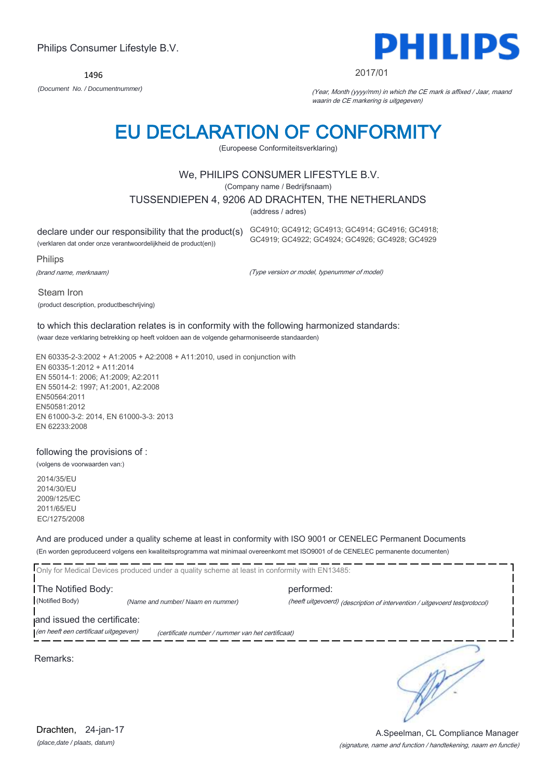EN 60335-1:2012 + A11:2014 EN 55014-1: 2006; A1:2009; A2:2011 EN 55014-2: 1997; A1:2001, A2:2008 EN50564:2011 EN50581:2012 EN 61000-3-2: 2014, EN 61000-3-3: 2013

(product description, productbeschrijving)

(volgens de voorwaarden van:)

2014/35/EU 2014/30/EU 2009/125/EC 2011/65/EU EC/1275/2008

And are produced under a quality scheme at least in conformity with ISO 9001 or CENELEC Permanent Documents (En worden geproduceerd volgens een kwaliteitsprogramma wat minimaal overeenkomt met ISO9001 of de CENELEC permanente documenten)

Only for Medical Devices produced under a quality scheme at least in conformity with EN13485: The Notified Body: performed: (Notified Body) *(Name and number/ Naam en nummer)* (heeft uitgevoerd) (description of intervention / uitgevoerd testprotocol) and issued the certificate: (en heeft een certificaat uitgegeven) (certificate number / nummer van het certificaat) ∍

Remarks:

Philips Consumer Lifestyle B.V.

1496



(Europeese Conformiteitsverklaring)

#### We, PHILIPS CONSUMER LIFESTYLE B.V.

(Company name / Bedrijfsnaam)

TUSSENDIEPEN 4, 9206 AD DRACHTEN, THE NETHERLANDS

(address / adres)

declare under our responsibility that the product(s) GC4910; GC4912; GC4913; GC4914; GC4916; GC4918;

(verklaren dat onder onze verantwoordelijkheid de product(en))

Philips

(brand name, merknaam)

Steam Iron

(Type version or model, typenummer of model)

GC4919; GC4922; GC4924; GC4926; GC4928; GC4929

to which this declaration relates is in conformity with the following harmonized standards:

(waar deze verklaring betrekking op heeft voldoen aan de volgende geharmoniseerde standaarden)

EN 60335-2-3:2002 + A1:2005 + A2:2008 + A11:2010, used in conjunction with EN 62233:2008

#### following the provisions of :

Drachten, 24-jan-17

*(place,date / plaats, datum)*

#### (signature, name and function / handtekening, naam en functie) A.Speelman, CL Compliance Manager

PHILII

#### 2017/01

*(Document No. / Documentnummer)* (Year, Month (yyyy/mm) in which the CE mark is affixed / Jaar, maand waarin de CE markering is uitgegeven)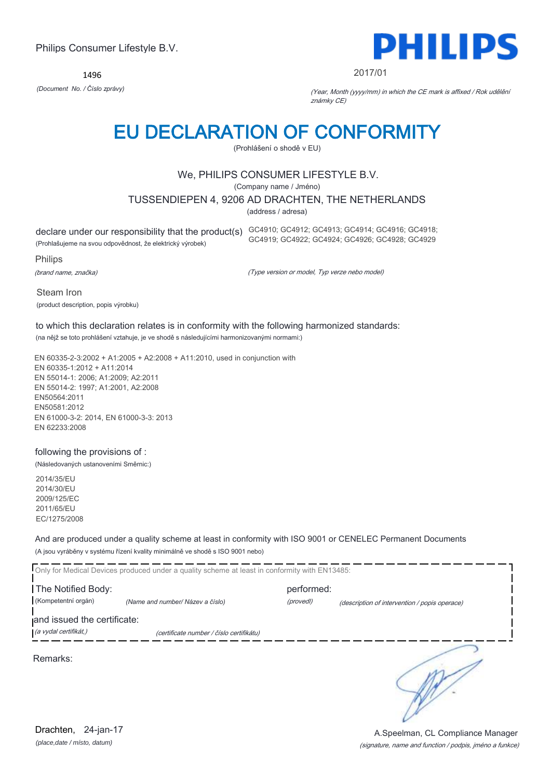1496



#### 2017/01

*(Document No. / Číslo zprávy)* (Year, Month (yyyy/mm) in which the CE mark is affixed / Rok udělění známky CE)

## EU DECLARATION OF CONFORMITY

(Prohlášení o shodě v EU)

#### We, PHILIPS CONSUMER LIFESTYLE B.V.

(Company name / Jméno)

TUSSENDIEPEN 4, 9206 AD DRACHTEN, THE NETHERLANDS

(address / adresa)

(Prohlašujeme na svou odpovědnost, že elektrický výrobek)

declare under our responsibility that the product(s) GC4910; GC4912; GC4913; GC4914; GC4916; GC4918; GC4919; GC4922; GC4924; GC4926; GC4928; GC4929

Philips

(brand name, značka)

(Type version or model, Typ verze nebo model)

Steam Iron (product description, popis výrobku)

### to which this declaration relates is in conformity with the following harmonized standards:

(na nějž se toto prohlášení vztahuje, je ve shodě s následujícími harmonizovanými normami:)

EN 60335-2-3:2002 + A1:2005 + A2:2008 + A11:2010, used in conjunction with EN 60335-1:2012 + A11:2014 EN 55014-1: 2006; A1:2009; A2:2011 EN 55014-2: 1997; A1:2001, A2:2008 EN50564:2011 EN50581:2012 EN 61000-3-2: 2014, EN 61000-3-3: 2013 EN 62233:2008

#### following the provisions of :

(Následovaných ustanoveními Směrnic:)

2014/35/EU 2014/30/EU 2009/125/EC 2011/65/EU EC/1275/2008

And are produced under a quality scheme at least in conformity with ISO 9001 or CENELEC Permanent Documents (A jsou vyráběny v systému řízení kvality minimálně ve shodě s ISO 9001 nebo)

|                                           | Only for Medical Devices produced under a quality scheme at least in conformity with EN13485: |                         |                                               |
|-------------------------------------------|-----------------------------------------------------------------------------------------------|-------------------------|-----------------------------------------------|
| The Notified Body:<br>(Kompetentní orgán) | (Name and number/ Název a číslo)                                                              | performed:<br>(provedl) | (description of intervention / popis operace) |
| and issued the certificate:               |                                                                                               |                         |                                               |
| (a vydal certifikát,)                     | (certificate number / číslo certifikátu)                                                      |                         |                                               |
| Remarks:                                  |                                                                                               |                         |                                               |

*(place,date / místo, datum)* Drachten, 24-jan-17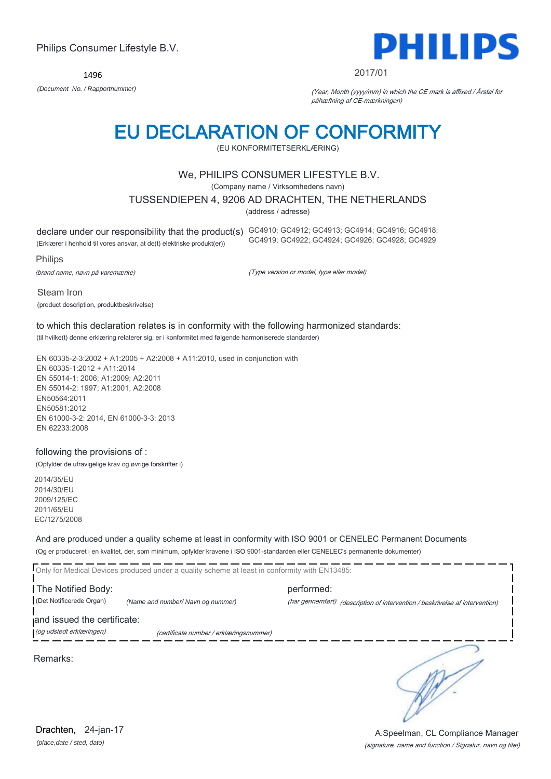1496



#### 2017/01

*(Document No. / Rapportnummer)* (Year, Month (yyyy/mm) in which the CE mark is affixed / Årstal for påhæftning af CE-mærkningen)

### EU DECLARATION OF CONFORMITY

(EU KONFORMITETSERKLÆRING)

#### We, PHILIPS CONSUMER LIFESTYLE B.V.

(Company name / Virksomhedens navn)

TUSSENDIEPEN 4, 9206 AD DRACHTEN, THE NETHERLANDS

(address / adresse)

declare under our responsibility that the product(s) GC4910; GC4912; GC4913; GC4914; GC4916; GC4918; (Erklærer i henhold til vores ansvar, at de(t) elektriske produkt(er)) GC4919; GC4922; GC4924; GC4926; GC4928; GC4929

Philips

(brand name, navn på varemærke)

(Type version or model, type eller model)

Steam Iron (product description, produktbeskrivelse)

#### to which this declaration relates is in conformity with the following harmonized standards: (til hvilke(t) denne erklæring relaterer sig, er i konformitet med følgende harmoniserede standarder)

EN 60335-2-3:2002 + A1:2005 + A2:2008 + A11:2010, used in conjunction with EN 60335-1:2012 + A11:2014 EN 55014-1: 2006; A1:2009; A2:2011 EN 55014-2: 1997; A1:2001, A2:2008 EN50564:2011 EN50581:2012 EN 61000-3-2: 2014, EN 61000-3-3: 2013 EN 62233:2008

#### following the provisions of :

(Opfylder de ufravigelige krav og øvrige forskrifter i)

2014/35/EU 2014/30/EU 2009/125/EC 2011/65/EU EC/1275/2008

#### And are produced under a quality scheme at least in conformity with ISO 9001 or CENELEC Permanent Documents (Og er produceret i en kvalitet, der, som minimum, opfylder kravene i ISO 9001-standarden eller CENELEC's permanente dokumenter)

Only for Medical Devices produced under a quality scheme at least in conformity with EN13485: The Notified Body: example and the performed: (Det Notificerede Organ) *(Name and number/ Navn og nummer)* (har gennemført) (description of intervention / beskrivelse af intervention) and issued the certificate: (og udstedt erklæringen) (certificate number / erklæringsnummer)

Remarks:

∍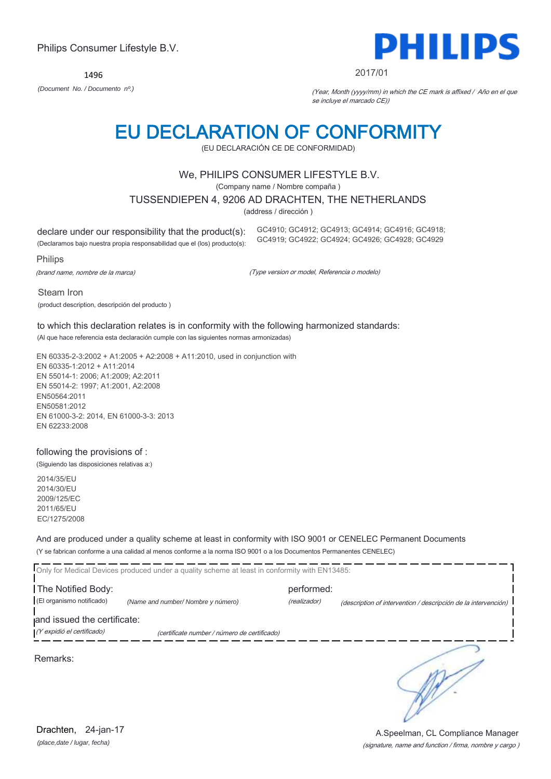Steam Iron

(Al que hace referencia esta declaración cumple con las siguientes normas armonizadas)

EN 60335-2-3:2002 + A1:2005 + A2:2008 + A11:2010, used in conjunction with EN 60335-1:2012 + A11:2014 EN 55014-1: 2006; A1:2009; A2:2011 EN 55014-2: 1997; A1:2001, A2:2008 EN50564:2011 EN50581:2012 EN 61000-3-2: 2014, EN 61000-3-3: 2013 EN 62233:2008

#### following the provisions of :

(Siguiendo las disposiciones relativas a:)

2014/35/EU 2014/30/EU 2009/125/EC 2011/65/EU EC/1275/2008

And are produced under a quality scheme at least in conformity with ISO 9001 or CENELEC Permanent Documents (Y se fabrican conforme a una calidad al menos conforme a la norma ISO 9001 o a los Documentos Permanentes CENELEC)

|                             | Only for Medical Devices produced under a quality scheme at least in conformity with EN13485: |              |                                                                |
|-----------------------------|-----------------------------------------------------------------------------------------------|--------------|----------------------------------------------------------------|
| The Notified Body:          |                                                                                               | performed:   |                                                                |
| (El organismo notificado)   | (Name and number/ Nombre y número)                                                            | (realizador) | (description of intervention / descripción de la intervención) |
| and issued the certificate: |                                                                                               |              |                                                                |
| (Y expidió el certificado)  | (certificate number / número de certificado)                                                  |              |                                                                |
| Remarks:                    |                                                                                               |              |                                                                |

Philips Consumer Lifestyle B.V.

1496

### EU DECLARATION OF CONFORMITY (EU DECLARACIÓN CE DE CONFORMIDAD)

### We, PHILIPS CONSUMER LIFESTYLE B.V.

(Company name / Nombre compaña )

#### TUSSENDIEPEN 4, 9206 AD DRACHTEN, THE NETHERLANDS

(address / dirección )

declare under our responsibility that the product(s):

(Declaramos bajo nuestra propia responsabilidad que el (los) producto(s):

Philips

(brand name, nombre de la marca)

(product description, descripción del producto )

(Type version or model, Referencia o modelo)

GC4910; GC4912; GC4913; GC4914; GC4916; GC4918; GC4919; GC4922; GC4924; GC4926; GC4928; GC4929

### 2017/01

*(Document No. / Documento nº.)* (Year, Month (yyyy/mm) in which the CE mark is affixed / Año en el que se incluye el marcado CE))



#### *(place,date / lugar, fecha)* Drachten, 24-jan-17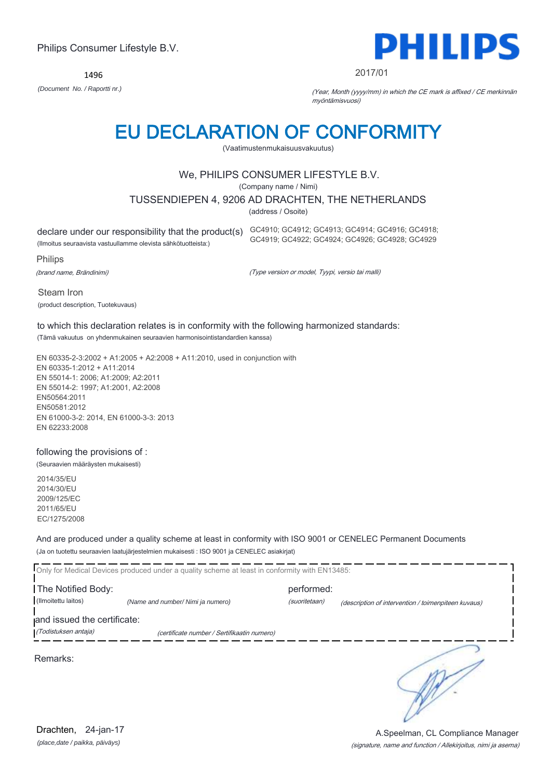1496



#### 2017/01

*(Document No. / Raportti nr.)* (Year, Month (yyyy/mm) in which the CE mark is affixed / CE merkinnän myöntämisvuosi)

### EU DECLARATION OF CONFORMITY

(Vaatimustenmukaisuusvakuutus)

#### We, PHILIPS CONSUMER LIFESTYLE B.V.

(Company name / Nimi)

TUSSENDIEPEN 4, 9206 AD DRACHTEN, THE NETHERLANDS

(address / Osoite)

declare under our responsibility that the product(s) GC4910; GC4912; GC4913; GC4914; GC4916; GC4918;

(Ilmoitus seuraavista vastuullamme olevista sähkötuotteista:)

Philips

(brand name, Brändinimi)

(Type version or model, Tyypi, versio tai malli)

GC4919; GC4922; GC4924; GC4926; GC4928; GC4929

Steam Iron (product description, Tuotekuvaus)

### to which this declaration relates is in conformity with the following harmonized standards:

(Tämä vakuutus on yhdenmukainen seuraavien harmonisointistandardien kanssa)

EN 60335-2-3:2002 + A1:2005 + A2:2008 + A11:2010, used in conjunction with EN 60335-1:2012 + A11:2014 EN 55014-1: 2006; A1:2009; A2:2011 EN 55014-2: 1997; A1:2001, A2:2008 EN50564:2011 EN50581:2012 EN 61000-3-2: 2014, EN 61000-3-3: 2013 EN 62233:2008

#### following the provisions of :

(Seuraavien määräysten mukaisesti)

2014/35/EU 2014/30/EU 2009/125/EC 2011/65/EU EC/1275/2008

And are produced under a quality scheme at least in conformity with ISO 9001 or CENELEC Permanent Documents (Ja on tuotettu seuraavien laatujärjestelmien mukaisesti : ISO 9001 ja CENELEC asiakirjat)

|                                                     | Only for Medical Devices produced under a quality scheme at least in conformity with EN13485: |                             |                                                     |
|-----------------------------------------------------|-----------------------------------------------------------------------------------------------|-----------------------------|-----------------------------------------------------|
| The Notified Body:<br>(Ilmoitettu laitos)           | (Name and number/ Nimi ja numero)                                                             | performed:<br>(suoritetaan) | (description of intervention / toimenpiteen kuvaus) |
| and issued the certificate:<br>(Todistuksen antaja) | (certificate number / Sertifikaatin numero)                                                   |                             |                                                     |
| Remarks:                                            |                                                                                               |                             |                                                     |

*(place,date / paikka, päiväys)* Drachten, 24-jan-17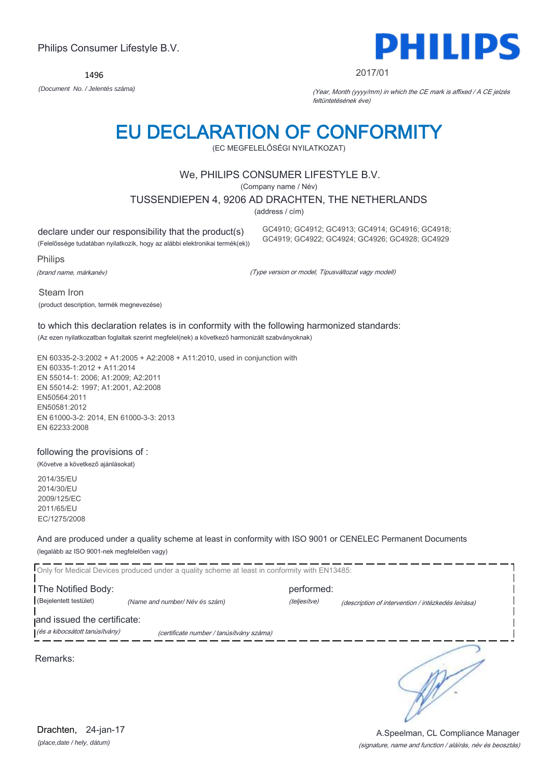Steam Iron

1496

### EU DECLARATION OF CONFORMITY

(EC MEGFELELŐSÉGI NYILATKOZAT)

#### We, PHILIPS CONSUMER LIFESTYLE B.V.

(Company name / Név)

TUSSENDIEPEN 4, 9206 AD DRACHTEN, THE NETHERLANDS

(address / cím)

declare under our responsibility that the product(s)

(Felelőssége tudatában nyilatkozik, hogy az alábbi elektronikai termék(ek))

Philips

(brand name, márkanév)

(Type version or model, Típusváltozat vagy modell)

GC4910; GC4912; GC4913; GC4914; GC4916; GC4918; GC4919; GC4922; GC4924; GC4926; GC4928; GC4929

to which this declaration relates is in conformity with the following harmonized standards:

(Az ezen nyilatkozatban foglaltak szerint megfelel(nek) a következő harmonizált szabványoknak)

EN 60335-2-3:2002 + A1:2005 + A2:2008 + A11:2010, used in conjunction with EN 60335-1:2012 + A11:2014 EN 55014-1: 2006; A1:2009; A2:2011 EN 55014-2: 1997; A1:2001, A2:2008 EN50564:2011 EN50581:2012 EN 61000-3-2: 2014, EN 61000-3-3: 2013 EN 62233:2008

#### following the provisions of :

(Követve a következő ajánlásokat)

2014/35/EU 2014/30/EU 2009/125/EC 2011/65/EU EC/1275/2008

And are produced under a quality scheme at least in conformity with ISO 9001 or CENELEC Permanent Documents (legalább az ISO 9001-nek megfelelően vagy)

|                                | Only for Medical Devices produced under a quality scheme at least in conformity with EN13485: |              |                                                    |
|--------------------------------|-----------------------------------------------------------------------------------------------|--------------|----------------------------------------------------|
| The Notified Body:             |                                                                                               | performed:   |                                                    |
| (Bejelentett testület)         | (Name and number/Név és szám)                                                                 | (teljesítve) | (description of intervention / intézkedés leírása) |
| and issued the certificate:    |                                                                                               |              |                                                    |
| (és a kibocsátott tanúsítvány) | (certificate number / tanúsítvány száma)                                                      |              |                                                    |
| Remarks:                       |                                                                                               |              |                                                    |

*(place,date / hely, dátum)* Drachten, 24-jan-17

#### (signature, name and function / aláírás, név és beosztás) A.Speelman, CL Compliance Manager

PHILIPS

#### 2017/01

*(Document No. / Jelentés száma)* (Year, Month (yyyy/mm) in which the CE mark is affixed / A CE jelzés feltüntetésének éve)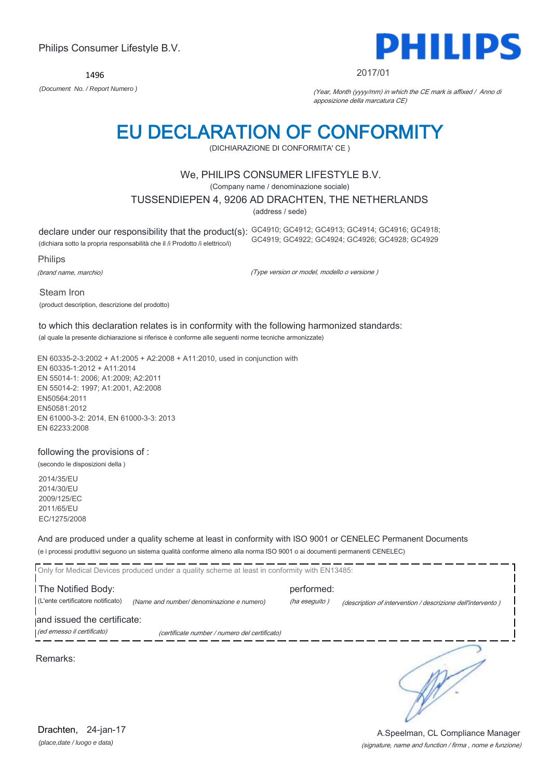1496



#### 2017/01

*(Document No. / Report Numero )* (Year, Month (yyyy/mm) in which the CE mark is affixed / Anno di apposizione della marcatura CE)

# EU DECLARATION OF CONFORMITY

(DICHIARAZIONE DI CONFORMITA' CE )

#### We, PHILIPS CONSUMER LIFESTYLE B.V.

(Company name / denominazione sociale)

TUSSENDIEPEN 4, 9206 AD DRACHTEN, THE NETHERLANDS

(address / sede)

declare under our responsibility that the product(s): GC4910; GC4912; GC4913; GC4914; GC4916; GC4918; (dichiara sotto la propria responsabilità che il /i Prodotto /i elettrico/i) GC4919; GC4922; GC4924; GC4926; GC4928; GC4929

Philips

(brand name, marchio)

(Type version or model, modello o versione )

Steam Iron (product description, descrizione del prodotto)

### to which this declaration relates is in conformity with the following harmonized standards:

(al quale la presente dichiarazione si riferisce è conforme alle seguenti norme tecniche armonizzate)

EN 60335-2-3:2002 + A1:2005 + A2:2008 + A11:2010, used in conjunction with EN 60335-1:2012 + A11:2014 EN 55014-1: 2006; A1:2009; A2:2011 EN 55014-2: 1997; A1:2001, A2:2008 EN50564:2011 EN50581:2012 EN 61000-3-2: 2014, EN 61000-3-3: 2013 EN 62233:2008

#### following the provisions of :

(secondo le disposizioni della )

2014/35/EU 2014/30/EU 2009/125/EC 2011/65/EU EC/1275/2008

And are produced under a quality scheme at least in conformity with ISO 9001 or CENELEC Permanent Documents (e i processi produttivi seguono un sistema qualità conforme almeno alla norma ISO 9001 o ai documenti permanenti CENELEC)

|                                                           | Only for Medical Devices produced under a quality scheme at least in conformity with EN13485: |                             |                                                             |
|-----------------------------------------------------------|-----------------------------------------------------------------------------------------------|-----------------------------|-------------------------------------------------------------|
| The Notified Body:<br>(L'ente certificatore notificato)   | (Name and number/ denominazione e numero)                                                     | performed:<br>(ha eseguito) | (description of intervention / descrizione dell'intervento) |
| and issued the certificate:<br>(ed emesso il certificato) | (certificate number / numero del certificato)                                                 |                             |                                                             |
| Remarks:                                                  |                                                                                               |                             |                                                             |

(signature, name and function / firma , nome e funzione) A.Speelman, CL Compliance Manager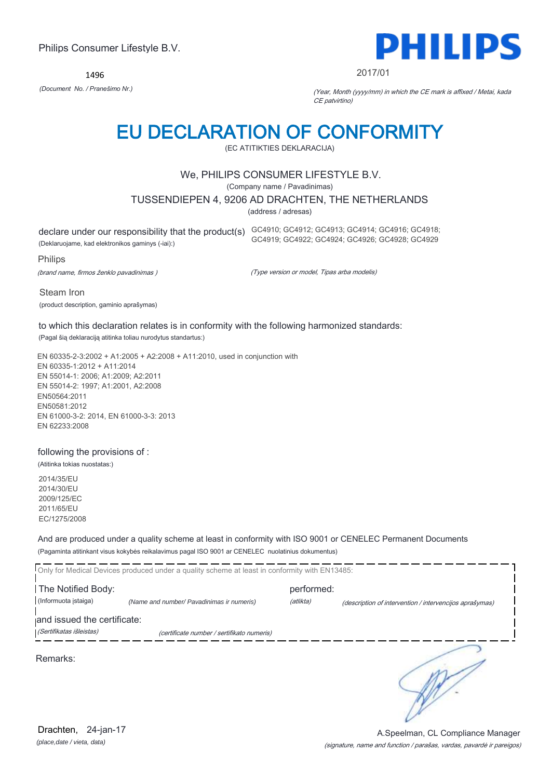1496



#### 2017/01

*(Document No. / Pranešimo Nr.)* (Year, Month (yyyy/mm) in which the CE mark is affixed / Metai, kada CE patvirtino)

## EU DECLARATION OF CONFORMITY

(EC ATITIKTIES DEKLARACIJA)

#### We, PHILIPS CONSUMER LIFESTYLE B.V.

(Company name / Pavadinimas)

TUSSENDIEPEN 4, 9206 AD DRACHTEN, THE NETHERLANDS

(address / adresas)

declare under our responsibility that the product(s) GC4910; GC4912; GC4913; GC4914; GC4916; GC4918;

(Deklaruojame, kad elektronikos gaminys (-iai):)

Philips

(brand name, firmos ženklo pavadinimas )

(Type version or model, Tipas arba modelis)

GC4919; GC4922; GC4924; GC4926; GC4928; GC4929

Steam Iron (product description, gaminio aprašymas)

to which this declaration relates is in conformity with the following harmonized standards:

(Pagal šią deklaraciją atitinka toliau nurodytus standartus:)

EN 60335-2-3:2002 + A1:2005 + A2:2008 + A11:2010, used in conjunction with EN 60335-1:2012 + A11:2014 EN 55014-1: 2006; A1:2009; A2:2011 EN 55014-2: 1997; A1:2001, A2:2008 EN50564:2011 EN50581:2012 EN 61000-3-2: 2014, EN 61000-3-3: 2013 EN 62233:2008

#### following the provisions of :

(Atitinka tokias nuostatas:)

2014/35/EU 2014/30/EU 2009/125/EC 2011/65/EU EC/1275/2008

And are produced under a quality scheme at least in conformity with ISO 9001 or CENELEC Permanent Documents (Pagaminta atitinkant visus kokybės reikalavimus pagal ISO 9001 ar CENELEC nuolatinius dokumentus)

|                             | Only for Medical Devices produced under a quality scheme at least in conformity with EN13485: |            |                                                         |
|-----------------------------|-----------------------------------------------------------------------------------------------|------------|---------------------------------------------------------|
| The Notified Body:          |                                                                                               | performed: |                                                         |
| (Informuota įstaiga)        | (Name and number/ Pavadinimas ir numeris)                                                     | (atlikta)  | (description of intervention / intervencijos aprašymas) |
| and issued the certificate: |                                                                                               |            |                                                         |
| (Sertifikatas išleistas)    | (certificate number / sertifikato numeris)                                                    |            |                                                         |
| Remarks:                    |                                                                                               |            |                                                         |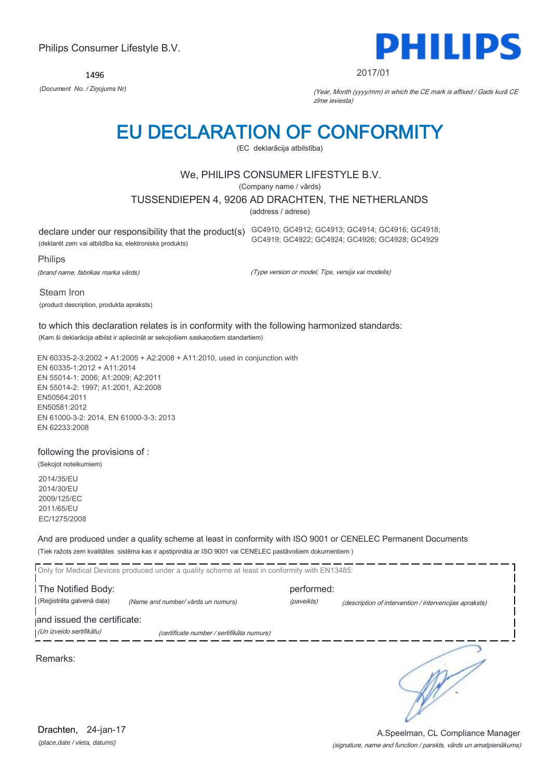1496



#### 2017/01

*(Document No. / Ziņojums Nr)* (Year, Month (yyyy/mm) in which the CE mark is affixed / Gads kurā CE zīme ieviesta)

## EU DECLARATION OF CONFORMITY

(EC deklarācija atbilstība)

#### We, PHILIPS CONSUMER LIFESTYLE B.V.

(Company name / vārds)

TUSSENDIEPEN 4, 9206 AD DRACHTEN, THE NETHERLANDS

(address / adrese)

(deklarēt zem vai atbildība ka, elektronisks produkts)

declare under our responsibility that the product(s) GC4910; GC4912; GC4913; GC4914; GC4916; GC4918; GC4919; GC4922; GC4924; GC4926; GC4928; GC4929

Philips

(brand name, fabrikas marka vārds)

(Type version or model, Tips, versija vai modelis)

Steam Iron (product description, produkta apraksts)

#### to which this declaration relates is in conformity with the following harmonized standards: (Kam ši deklarācija atbilst ir apliecināt ar sekojošiem saskaņotiem standartiem)

EN 60335-2-3:2002 + A1:2005 + A2:2008 + A11:2010, used in conjunction with EN 60335-1:2012 + A11:2014 EN 55014-1: 2006; A1:2009; A2:2011 EN 55014-2: 1997; A1:2001, A2:2008 EN50564:2011 EN50581:2012 EN 61000-3-2: 2014, EN 61000-3-3: 2013 EN 62233:2008

#### following the provisions of :

(Sekojot noteikumiem) 2014/35/EU 2014/30/EU 2009/125/EC 2011/65/EU

EC/1275/2008

And are produced under a quality scheme at least in conformity with ISO 9001 or CENELEC Permanent Documents (Tiek ražots zem kvalitātes sistēma kas ir apstiprināta ar ISO 9001 vai CENELEC pastāvošiem dokumentiem )

|                             | Only for Medical Devices produced under a quality scheme at least in conformity with EN13485: |            |                                                        |
|-----------------------------|-----------------------------------------------------------------------------------------------|------------|--------------------------------------------------------|
| The Notified Body:          |                                                                                               | performed: |                                                        |
| (Reģistrēta galvenā daļa)   | (Name and number/ vārds un numurs)                                                            | (paveikts) | (description of intervention / intervencijas apraksts) |
| and issued the certificate: |                                                                                               |            |                                                        |
| (Un izveido sertifikātu)    | (certificate number / sertifikāta numurs)                                                     |            |                                                        |
| Remarks:                    |                                                                                               |            |                                                        |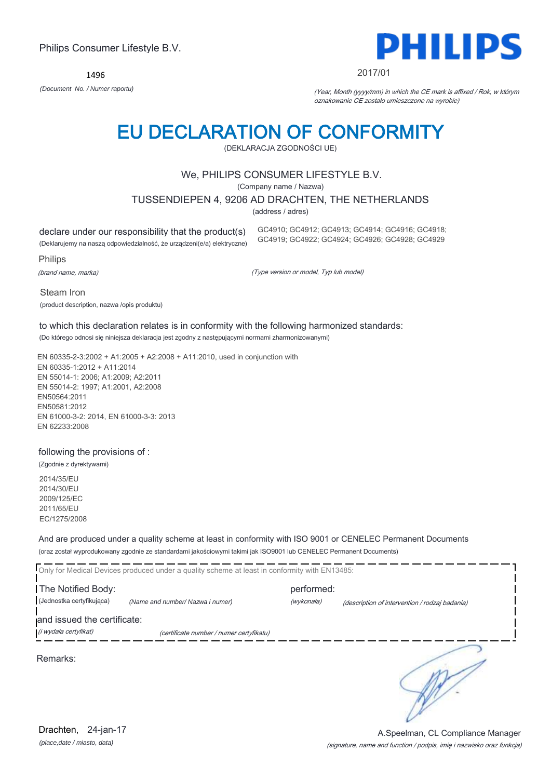1496



#### 2017/01

*(Document No. / Numer raportu)* (Year, Month (yyyy/mm) in which the CE mark is affixed / Rok, w którym oznakowanie CE zostało umieszczone na wyrobie)

# EU DECLARATION OF CONFORMITY

(DEKLARACJA ZGODNOŚCI UE)

#### We, PHILIPS CONSUMER LIFESTYLE B.V.

(Company name / Nazwa)

TUSSENDIEPEN 4, 9206 AD DRACHTEN, THE NETHERLANDS

(address / adres)

declare under our responsibility that the product(s)

(Deklarujemy na naszą odpowiedzialność, że urządzeni(e/a) elektryczne)

Philips

(brand name, marka)

(Type version or model, Typ lub model)

GC4910; GC4912; GC4913; GC4914; GC4916; GC4918; GC4919; GC4922; GC4924; GC4926; GC4928; GC4929

Steam Iron

(product description, nazwa /opis produktu)

### to which this declaration relates is in conformity with the following harmonized standards:

(Do którego odnosi się niniejsza deklaracja jest zgodny z następującymi normami zharmonizowanymi)

EN 60335-2-3:2002 + A1:2005 + A2:2008 + A11:2010, used in conjunction with EN 60335-1:2012 + A11:2014 EN 55014-1: 2006; A1:2009; A2:2011 EN 55014-2: 1997; A1:2001, A2:2008 EN50564:2011 EN50581:2012 EN 61000-3-2: 2014, EN 61000-3-3: 2013 EN 62233:2008

#### following the provisions of :

(Zgodnie z dyrektywami) 2014/35/EU 2014/30/EU 2009/125/EC 2011/65/EU

EC/1275/2008

And are produced under a quality scheme at least in conformity with ISO 9001 or CENELEC Permanent Documents (oraz został wyprodukowany zgodnie ze standardami jakościowymi takimi jak ISO9001 lub CENELEC Permanent Documents)

|                             | Only for Medical Devices produced under a quality scheme at least in conformity with EN13485: |            |                                                |
|-----------------------------|-----------------------------------------------------------------------------------------------|------------|------------------------------------------------|
| The Notified Body:          |                                                                                               | performed: |                                                |
| (Jednostka certyfikująca)   | (Name and number/ Nazwa i numer)                                                              | (wykonała) | (description of intervention / rodzaj badania) |
| and issued the certificate: |                                                                                               |            |                                                |
| (i wydała certyfikat)       | (certificate number / numer certyfikatu)                                                      |            |                                                |
| Remarks:                    |                                                                                               |            |                                                |

A.Speelman, CL Compliance Manager

*(place,date / miasto, data)* Drachten, 24-jan-17

### (signature, name and function / podpis, imię i nazwisko oraz funkcja)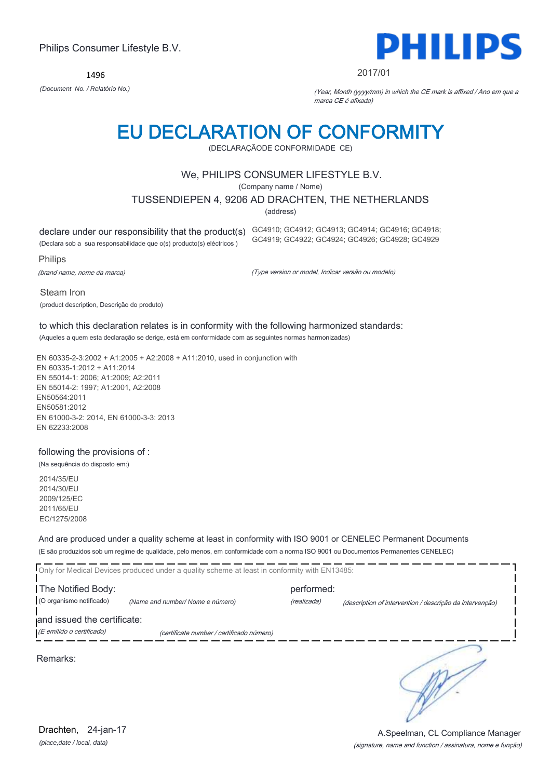1496



#### 2017/01

*(Document No. / Relatório No.)* (Year, Month (yyyy/mm) in which the CE mark is affixed / Ano em que a marca CE é afixada)

# EU DECLARATION OF CONFORMITY

(DECLARAÇÃODE CONFORMIDADE CE)

#### We, PHILIPS CONSUMER LIFESTYLE B.V.

(Company name / Nome)

TUSSENDIEPEN 4, 9206 AD DRACHTEN, THE NETHERLANDS

(address)

declare under our responsibility that the product(s) GC4910; GC4912; GC4913; GC4914; GC4916; GC4918;

(Declara sob a sua responsabilidade que o(s) producto(s) eléctricos )

Philips

(brand name, nome da marca)

(Type version or model, Indicar versão ou modelo)

GC4919; GC4922; GC4924; GC4926; GC4928; GC4929

Steam Iron

(product description, Descrição do produto)

#### to which this declaration relates is in conformity with the following harmonized standards: (Aqueles a quem esta declaração se derige, está em conformidade com as seguintes normas harmonizadas)

EN 60335-2-3:2002 + A1:2005 + A2:2008 + A11:2010, used in conjunction with EN 60335-1:2012 + A11:2014 EN 55014-1: 2006; A1:2009; A2:2011 EN 55014-2: 1997; A1:2001, A2:2008 EN50564:2011 EN50581:2012 EN 61000-3-2: 2014, EN 61000-3-3: 2013 EN 62233:2008

#### following the provisions of :

(Na sequência do disposto em:)

2014/35/EU 2014/30/EU 2009/125/EC 2011/65/EU EC/1275/2008

And are produced under a quality scheme at least in conformity with ISO 9001 or CENELEC Permanent Documents (E são produzidos sob um regime de qualidade, pelo menos, em conformidade com a norma ISO 9001 ou Documentos Permanentes CENELEC)

| Only for Medical Devices produced under a quality scheme at least in conformity with EN13485: |                                           |                           |                                                          |
|-----------------------------------------------------------------------------------------------|-------------------------------------------|---------------------------|----------------------------------------------------------|
| The Notified Body:<br>(O organismo notificado)                                                | (Name and number/Nome e número)           | performed:<br>(realizada) | (description of intervention / descrição da intervenção) |
| and issued the certificate:<br>(E emitido o certificado)                                      | (certificate number / certificado número) |                           |                                                          |

Remarks:

*(place,date / local, data)* Drachten, 24-jan-17

#### (signature, name and function / assinatura, nome e função) A.Speelman, CL Compliance Manager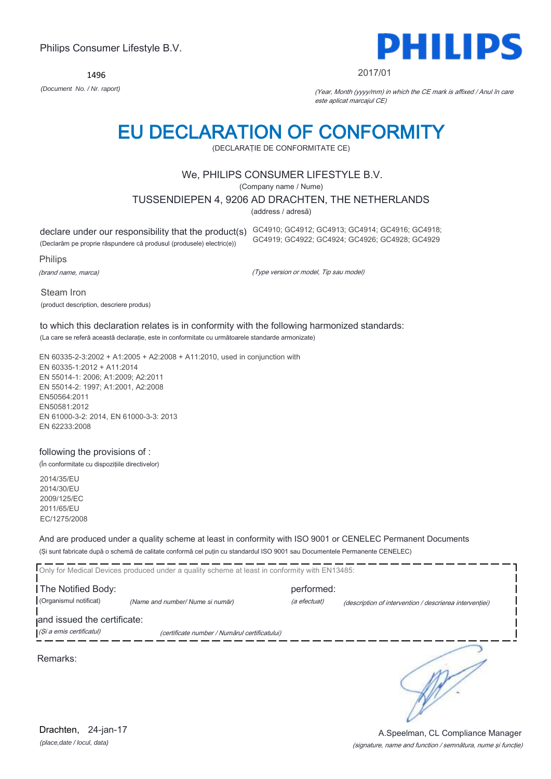1496



#### 2017/01

*(Document No. / Nr. raport)* (Year, Month (yyyy/mm) in which the CE mark is affixed / Anul în care este aplicat marcajul CE)

# EU DECLARATION OF CONFORMITY

(DECLARAŢIE DE CONFORMITATE CE)

#### We, PHILIPS CONSUMER LIFESTYLE B.V.

(Company name / Nume)

TUSSENDIEPEN 4, 9206 AD DRACHTEN, THE NETHERLANDS

(address / adresă)

(Declarăm pe proprie răspundere că produsul (produsele) electric(e))

declare under our responsibility that the product(s) GC4910; GC4912; GC4913; GC4914; GC4916; GC4918; GC4919; GC4922; GC4924; GC4926; GC4928; GC4929

Philips

(brand name, marca)

(Type version or model, Tip sau model)

Steam Iron (product description, descriere produs)

#### to which this declaration relates is in conformity with the following harmonized standards: (La care se referă această declaraţie, este in conformitate cu următoarele standarde armonizate)

EN 60335-2-3:2002 + A1:2005 + A2:2008 + A11:2010, used in conjunction with EN 60335-1:2012 + A11:2014 EN 55014-1: 2006; A1:2009; A2:2011 EN 55014-2: 1997; A1:2001, A2:2008 EN50564:2011 EN50581:2012 EN 61000-3-2: 2014, EN 61000-3-3: 2013 EN 62233:2008

#### following the provisions of :

(În conformitate cu dispoziţiile directivelor)

2014/35/EU 2014/30/EU 2009/125/EC 2011/65/EU EC/1275/2008

And are produced under a quality scheme at least in conformity with ISO 9001 or CENELEC Permanent Documents (Şi sunt fabricate după o schemă de calitate conformă cel puţin cu standardul ISO 9001 sau Documentele Permanente CENELEC)

|                                                         | Only for Medical Devices produced under a quality scheme at least in conformity with EN13485: |                            |                                                         |
|---------------------------------------------------------|-----------------------------------------------------------------------------------------------|----------------------------|---------------------------------------------------------|
| The Notified Body:<br>(Organismul notificat)            | (Name and number/ Nume si număr)                                                              | performed:<br>(a efectuat) | (description of intervention / descrierea interventiei) |
| and issued the certificate:<br>(Și a emis certificatul) | (certificate number / Numărul certificatului)                                                 |                            |                                                         |
|                                                         |                                                                                               |                            |                                                         |

Remarks: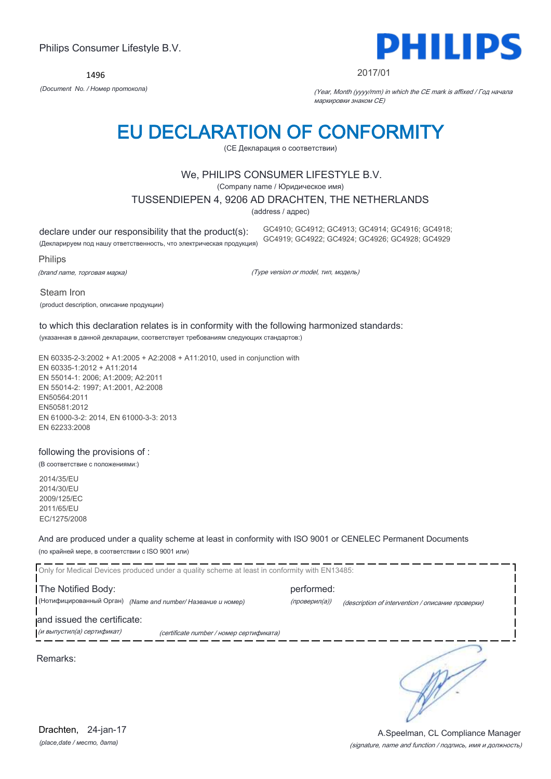1496



#### 2017/01

*(Document No. / Номер протокола)* (Year, Month (yyyy/mm) in which the CE mark is affixed / Год начала маркировки знаком CE)

# EU DECLARATION OF CONFORMITY

(CE Декларация о соответствии)

#### We, PHILIPS CONSUMER LIFESTYLE B.V.

(Company name / Юридическое имя)

TUSSENDIEPEN 4, 9206 AD DRACHTEN, THE NETHERLANDS

(address / адрес)

declare under our responsibility that the product(s):

(Декларируем под нашу ответственность, что электрическая продукция)

GC4910; GC4912; GC4913; GC4914; GC4916; GC4918; GC4919; GC4922; GC4924; GC4926; GC4928; GC4929

Philips

(brand name, торговая марка)

(Type version or model, тип, модель)

Steam Iron

(product description, описание продукции)

### to which this declaration relates is in conformity with the following harmonized standards:

(указанная в данной декларации, соответствует требованиям следующих стандартов:)

EN 60335-2-3:2002 + A1:2005 + A2:2008 + A11:2010, used in conjunction with EN 60335-1:2012 + A11:2014 EN 55014-1: 2006; A1:2009; A2:2011 EN 55014-2: 1997; A1:2001, A2:2008 EN50564:2011 EN50581:2012 EN 61000-3-2: 2014, EN 61000-3-3: 2013 EN 62233:2008

#### following the provisions of :

(В соответствие с положениями:)

2014/35/EU 2014/30/EU 2009/125/EC 2011/65/EU EC/1275/2008

And are produced under a quality scheme at least in conformity with ISO 9001 or CENELEC Permanent Documents (по крайней мере, в соответствии с ISO 9001 или)

Only for Medical Devices produced under a quality scheme at least in conformity with EN13485: The Notified Body: example and performed: (Нотифицированный Орган) *(Name and number/ Название и номер)* (проверил(а)) (description of intervention / описание проверки) and issued the certificate: (и выпустил(а) сертификат) (certificate number / номер сертификата) ∍ Remarks: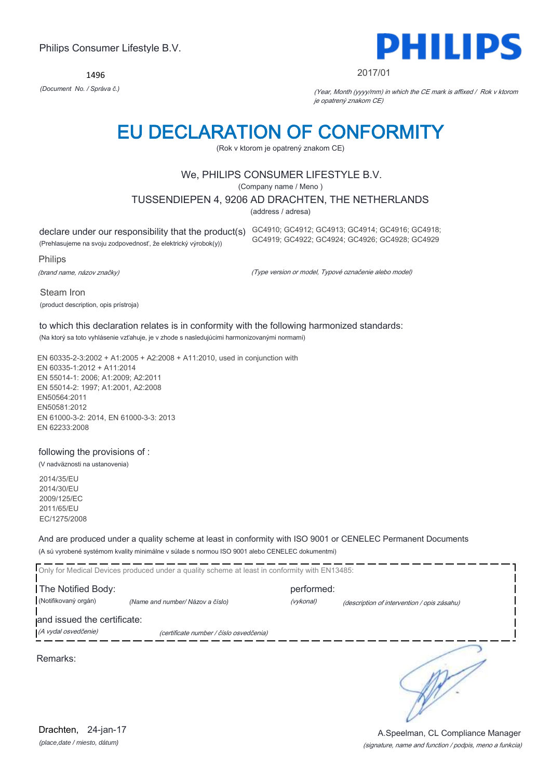1496



#### 2017/01

*(Document No. / Správa č.)* (Year, Month (yyyy/mm) in which the CE mark is affixed / Rok v ktorom je opatrený znakom CE)

# EU DECLARATION OF CONFORMITY

(Rok v ktorom je opatrený znakom CE)

#### We, PHILIPS CONSUMER LIFESTYLE B.V.

(Company name / Meno )

TUSSENDIEPEN 4, 9206 AD DRACHTEN, THE NETHERLANDS

(address / adresa)

declare under our responsibility that the product(s) GC4910; GC4912; GC4913; GC4914; GC4916; GC4918;

(Prehlasujeme na svoju zodpovednosť, že elektrický výrobok(y))

Philips

(brand name, názov značky)

(Type version or model, Typové označenie alebo model)

GC4919; GC4922; GC4924; GC4926; GC4928; GC4929

Steam Iron (product description, opis prístroja)

#### to which this declaration relates is in conformity with the following harmonized standards: (Na ktorý sa toto vyhlásenie vzťahuje, je v zhode s nasledujúcimi harmonizovanými normami)

EN 60335-2-3:2002 + A1:2005 + A2:2008 + A11:2010, used in conjunction with EN 60335-1:2012 + A11:2014 EN 55014-1: 2006; A1:2009; A2:2011 EN 55014-2: 1997; A1:2001, A2:2008 EN50564:2011 EN50581:2012 EN 61000-3-2: 2014, EN 61000-3-3: 2013 EN 62233:2008

#### following the provisions of :

(V nadväznosti na ustanovenia)

2014/35/EU 2014/30/EU 2009/125/EC 2011/65/EU EC/1275/2008

And are produced under a quality scheme at least in conformity with ISO 9001 or CENELEC Permanent Documents (A sú vyrobené systémom kvality minimálne v súlade s normou ISO 9001 alebo CENELEC dokumentmi)

Only for Medical Devices produced under a quality scheme at least in conformity with EN13485: The Notified Body: example and the performed: (Notifikovaný orgán) *(Name and number/ Názov a číslo)* (vykonal) (description of intervention / opis zásahu) and issued the certificate: (A vydal osvedčenie) (certificate number / číslo osvedčenia) ∍ Remarks: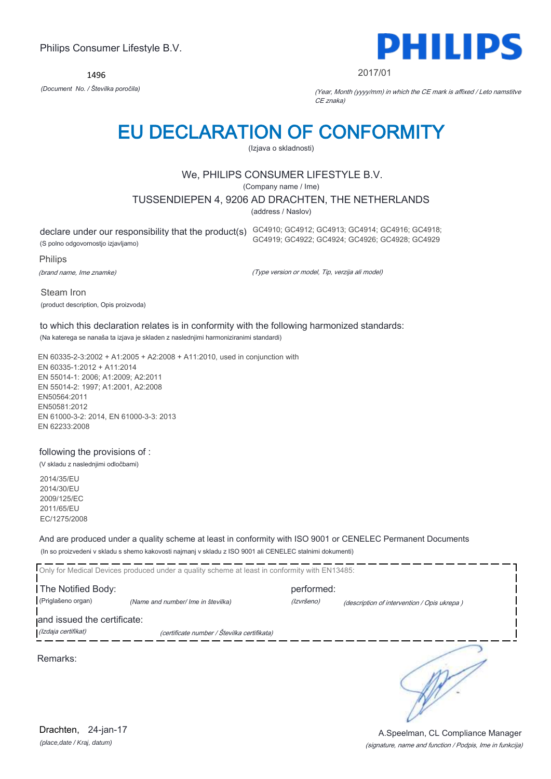1496



2017/01

*(Document No. / Številka poročila)* (Year, Month (yyyy/mm) in which the CE mark is affixed / Leto namstitve CE znaka)

# EU DECLARATION OF CONFORMITY

(Izjava o skladnosti)

#### We, PHILIPS CONSUMER LIFESTYLE B.V.

(Company name / Ime)

TUSSENDIEPEN 4, 9206 AD DRACHTEN, THE NETHERLANDS

(address / Naslov)

declare under our responsibility that the product(s) GC4910; GC4912; GC4913; GC4914; GC4916; GC4918; (S polno odgovornostjo izjavljamo)

GC4919; GC4922; GC4924; GC4926; GC4928; GC4929

Philips

(brand name, Ime znamke)

(Type version or model, Tip, verzija ali model)

Steam Iron (product description, Opis proizvoda)

#### to which this declaration relates is in conformity with the following harmonized standards: (Na katerega se nanaša ta izjava je skladen z naslednjimi harmoniziranimi standardi)

EN 60335-2-3:2002 + A1:2005 + A2:2008 + A11:2010, used in conjunction with EN 60335-1:2012 + A11:2014 EN 55014-1: 2006; A1:2009; A2:2011 EN 55014-2: 1997; A1:2001, A2:2008 EN50564:2011 EN50581:2012 EN 61000-3-2: 2014, EN 61000-3-3: 2013 EN 62233:2008

#### following the provisions of :

(V skladu z naslednjimi odločbami)

2014/35/EU 2014/30/EU 2009/125/EC 2011/65/EU EC/1275/2008

And are produced under a quality scheme at least in conformity with ISO 9001 or CENELEC Permanent Documents (In so proizvedeni v skladu s shemo kakovosti najmanj v skladu z ISO 9001 ali CENELEC stalnimi dokumenti)

|                                          | Only for Medical Devices produced under a quality scheme at least in conformity with EN13485: |                          |                                             |
|------------------------------------------|-----------------------------------------------------------------------------------------------|--------------------------|---------------------------------------------|
| The Notified Body:<br>(Priglašeno organ) |                                                                                               | performed:<br>(Izvršeno) |                                             |
| and issued the certificate:              | (Name and number/ Ime in številka)                                                            |                          | (description of intervention / Opis ukrepa) |
| (Izdaja certifikat)                      | (certificate number / Številka certifikata)                                                   |                          |                                             |
| Remarks:                                 |                                                                                               |                          |                                             |

*(place,date / Kraj, datum)* Drachten, 24-jan-17

#### (signature, name and function / Podpis, Ime in funkcija) A.Speelman, CL Compliance Manager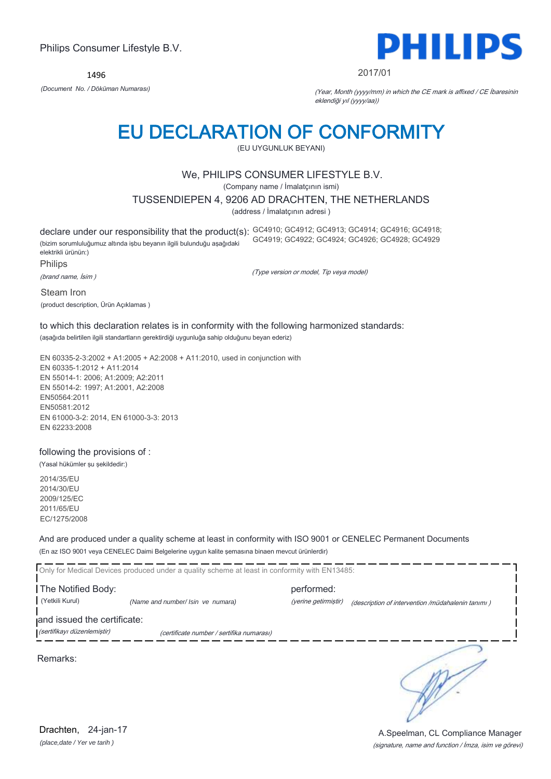1496



#### 2017/01

*(Document No. / Döküman Numarası)* (Year, Month (yyyy/mm) in which the CE mark is affixed / CE İbaresinin eklendiği yıl (yyyy/aa))

## EU DECLARATION OF CONFORMITY

(EU UYGUNLUK BEYANI)

#### We, PHILIPS CONSUMER LIFESTYLE B.V.

(Company name / İmalatçının ismi)

TUSSENDIEPEN 4, 9206 AD DRACHTEN, THE NETHERLANDS

(address / İmalatçının adresi )

declare under our responsibility that the product(s): GC4910; GC4912; GC4913; GC4914; GC4916; GC4918; (bizim sorumluluğumuz altında işbu beyanın ilgili bulunduğu aşağıdaki elektrikli ürünün:) GC4919; GC4922; GC4924; GC4926; GC4928; GC4929

Philips

(brand name, İsim )

(Type version or model, Tip veya model)

Steam Iron

(product description, Ürün Açıklamas )

#### to which this declaration relates is in conformity with the following harmonized standards: (aşağıda belirtilen ilgili standartların gerektirdiği uygunluğa sahip olduğunu beyan ederiz)

EN 60335-2-3:2002 + A1:2005 + A2:2008 + A11:2010, used in conjunction with EN 60335-1:2012 + A11:2014 EN 55014-1: 2006; A1:2009; A2:2011 EN 55014-2: 1997; A1:2001, A2:2008 EN50564:2011 EN50581:2012 EN 61000-3-2: 2014, EN 61000-3-3: 2013 EN 62233:2008

#### following the provisions of :

(Yasal hükümler şu şekildedir:)

2014/35/EU 2014/30/EU 2009/125/EC 2011/65/EU EC/1275/2008

And are produced under a quality scheme at least in conformity with ISO 9001 or CENELEC Permanent Documents (En az ISO 9001 veya CENELEC Daimi Belgelerine uygun kalite şemasına binaen mevcut ürünlerdir)

Only for Medical Devices produced under a quality scheme at least in conformity with EN13485: The Notified Body: performed: (Yetkili Kurul) *(Name and number/ Isin ve numara)* (yerine getirmiştir) (description of intervention /müdahalenin tanımı )

and issued the certificate:

(sertifikayı düzenlemiştir) (certificate number / sertifika numarası)

Remarks:

*(place,date / Yer ve tarih )* Drachten, 24-jan-17

(signature, name and function / İmza, isim ve görevi) A.Speelman, CL Compliance Manager

∋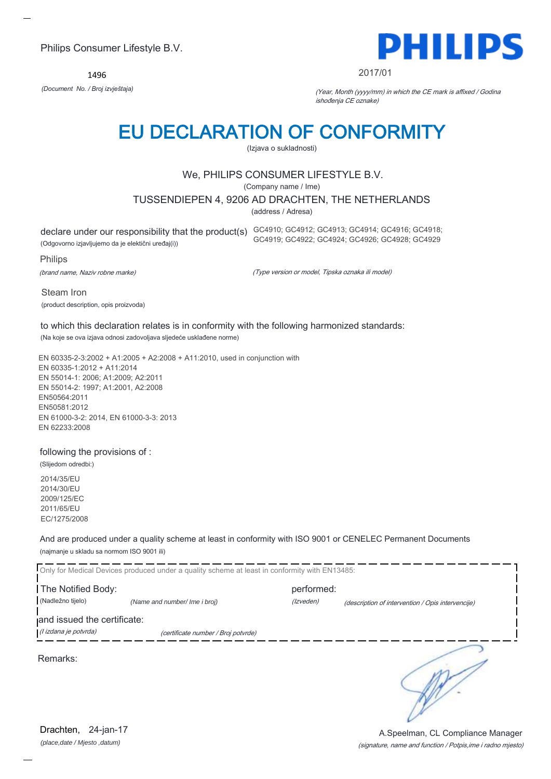1496



#### 2017/01

*(Document No. / Broj izvještaja)* (Year, Month (yyyy/mm) in which the CE mark is affixed / Godina ishođenja CE oznake)

## EU DECLARATION OF CONFORMITY

(Izjava o sukladnosti)

#### We, PHILIPS CONSUMER LIFESTYLE B.V.

(Company name / Ime)

TUSSENDIEPEN 4, 9206 AD DRACHTEN, THE NETHERLANDS

(address / Adresa)

declare under our responsibility that the product(s) GC4910; GC4912; GC4913; GC4914; GC4916; GC4918; (Odgovorno izjavljujemo da je elektični uređaj(i))

GC4919; GC4922; GC4924; GC4926; GC4928; GC4929

Philips

(brand name, Naziv robne marke)

(Type version or model, Tipska oznaka ili model)

Steam Iron (product description, opis proizvoda)

to which this declaration relates is in conformity with the following harmonized standards: (Na koje se ova izjava odnosi zadovoljava sljedeće usklađene norme)

EN 60335-2-3:2002 + A1:2005 + A2:2008 + A11:2010, used in conjunction with EN 60335-1:2012 + A11:2014 EN 55014-1: 2006; A1:2009; A2:2011 EN 55014-2: 1997; A1:2001, A2:2008 EN50564:2011 EN50581:2012 EN 61000-3-2: 2014, EN 61000-3-3: 2013 EN 62233:2008

#### following the provisions of :

(Slijedom odredbi:) 2014/35/EU 2014/30/EU 2009/125/EC 2011/65/EU EC/1275/2008

And are produced under a quality scheme at least in conformity with ISO 9001 or CENELEC Permanent Documents (najmanje u skladu sa normom ISO 9001 ili)

| Only for Medical Devices produced under a quality scheme at least in conformity with EN13485: |                                     |            |                                                   |  |  |  |
|-----------------------------------------------------------------------------------------------|-------------------------------------|------------|---------------------------------------------------|--|--|--|
| The Notified Body:                                                                            |                                     | performed: |                                                   |  |  |  |
| (Nadležno tijelo)                                                                             | (Name and number/ Ime i broj)       | (Izveden)  | (description of intervention / Opis intervencije) |  |  |  |
| and issued the certificate:<br>(l izdana je potvrda)                                          | (certificate number / Broj potvrde) |            |                                                   |  |  |  |
| Remarks:                                                                                      |                                     |            |                                                   |  |  |  |

*(place,date / Mjesto ,datum)* Drachten, 24-jan-17

(signature, name and function / Potpis,ime i radno mjesto) A.Speelman, CL Compliance Manager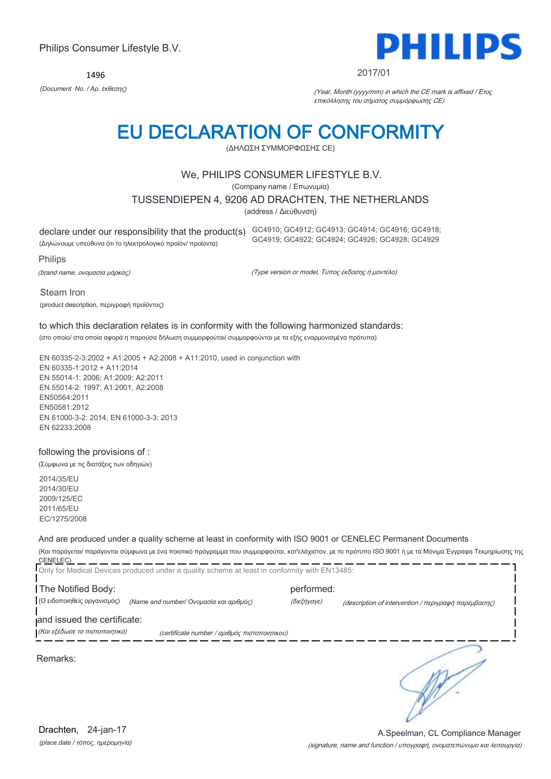1496



#### 2017/01

*(Document No. / Αρ. έκθεσης)* (Year, Month (yyyy/mm) in which the CE mark is affixed / Έτος επικόλλησης του σήματος συμμόρφωσης CE)

## EU DECLARATION OF CONFORMITY

(ΔΗΛΩΣΗ ΣΥΜΜΟΡΦΩΣΗΣ CE)

#### We, PHILIPS CONSUMER LIFESTYLE B.V.

(Company name / Επωνυμία)

TUSSENDIEPEN 4, 9206 AD DRACHTEN, THE NETHERLANDS

(address / Διεύθυνση)

declare under our responsibility that the product(s) GC4910; GC4912; GC4913; GC4914; GC4916; GC4918;

(Δηλώνουμε υπεύθυνα ότι το ηλεκτρολογικό προϊόν/ προϊόντα)

Philips

(brand name, ονομασία μάρκας)

(Type version or model, Τύπος έκδοσης ή μοντέλο)

GC4919; GC4922; GC4924; GC4926; GC4928; GC4929

Steam Iron

(product description, περιγραφή προϊόντος)

### to which this declaration relates is in conformity with the following harmonized standards:

(στο οποίο/ στα οποία αφορά η παρούσα δήλωση συμμορφούται/ συμμορφούνται με τα εξής εναρμονισμένα πρότυπα)

EN 60335-2-3:2002 + A1:2005 + A2:2008 + A11:2010, used in conjunction with EN 60335-1:2012 + A11:2014 EN 55014-1: 2006; A1:2009; A2:2011 EN 55014-2: 1997; A1:2001, A2:2008 EN50564:2011 EN50581:2012 EN 61000-3-2: 2014, EN 61000-3-3: 2013 EN 62233:2008

#### following the provisions of :

(Σύμφωνα με τις διατάξεις των οδηγιών)

2014/35/EU 2014/30/EU 2009/125/EC 2011/65/EU EC/1275/2008

#### And are produced under a quality scheme at least in conformity with ISO 9001 or CENELEC Permanent Documents

(Και παράγεται/ παράγονται σύμφωνα με ένα ποιοτικό πρόγραμμα που συμμορφούται, κατ'ελάχιστον, με το πρότυπο ISO 9001 ή με τα Μόνιμα Έγγραφα Τεκμηρίωσης της CENELEC)

|                                | Only for Medical Devices produced under a quality scheme at least in conformity with EN13485: |             |                                                      |
|--------------------------------|-----------------------------------------------------------------------------------------------|-------------|------------------------------------------------------|
| The Notified Body:             |                                                                                               | performed:  |                                                      |
| (Ο ειδοποιηθείς οργανισμός)    | (Name and number/ Ονομασία και αριθμός)                                                       | (διεξήγαγε) | (description of intervention / περιγραφή παρέμβασης) |
| and issued the certificate:    |                                                                                               |             |                                                      |
| (Και εξέδωσε το πιστοποιητικό) | (certificate number / αριθμός πιστοποιητικού)                                                 |             |                                                      |
| Remarks:                       |                                                                                               |             |                                                      |